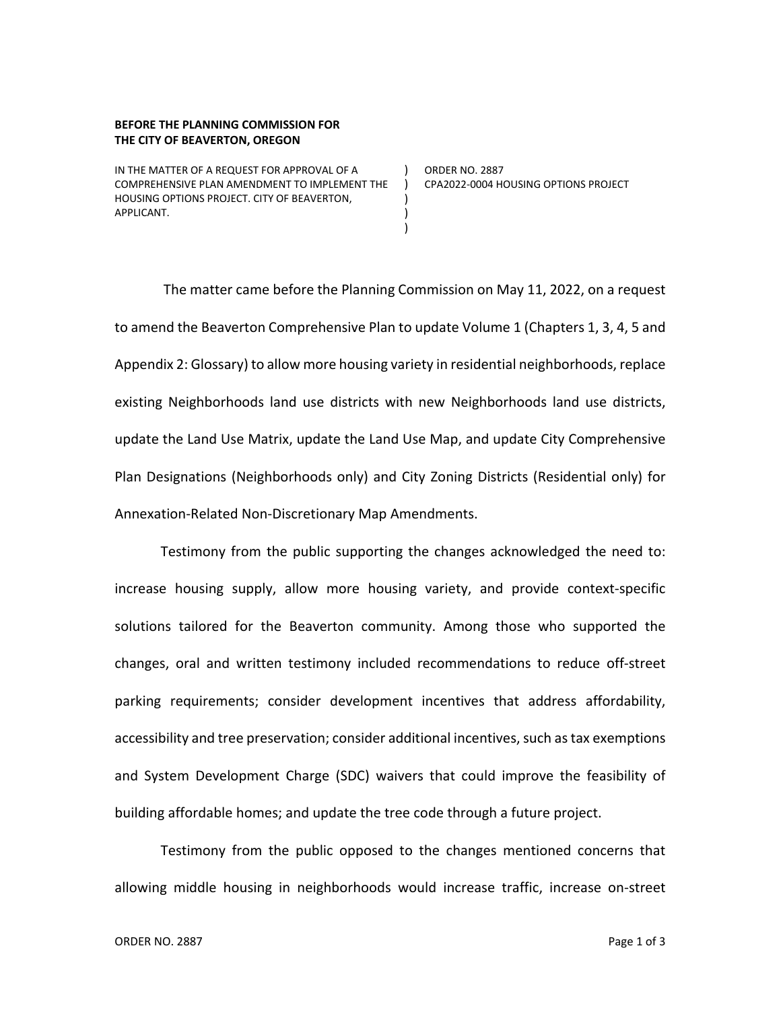## **BEFORE THE PLANNING COMMISSION FOR THE CITY OF BEAVERTON, OREGON**

IN THE MATTER OF A REQUEST FOR APPROVAL OF A COMPREHENSIVE PLAN AMENDMENT TO IMPLEMENT THE ) HOUSING OPTIONS PROJECT. CITY OF BEAVERTON, APPLICANT.

) ORDER NO. 2887 CPA2022-0004 HOUSING OPTIONS PROJECT

The matter came before the Planning Commission on May 11, 2022, on a request to amend the Beaverton Comprehensive Plan to update Volume 1 (Chapters 1, 3, 4, 5 and Appendix 2: Glossary) to allow more housing variety in residential neighborhoods, replace existing Neighborhoods land use districts with new Neighborhoods land use districts, update the Land Use Matrix, update the Land Use Map, and update City Comprehensive Plan Designations (Neighborhoods only) and City Zoning Districts (Residential only) for Annexation-Related Non-Discretionary Map Amendments.

) ) )

Testimony from the public supporting the changes acknowledged the need to: increase housing supply, allow more housing variety, and provide context-specific solutions tailored for the Beaverton community. Among those who supported the changes, oral and written testimony included recommendations to reduce off-street parking requirements; consider development incentives that address affordability, accessibility and tree preservation; consider additional incentives, such as tax exemptions and System Development Charge (SDC) waivers that could improve the feasibility of building affordable homes; and update the tree code through a future project.

Testimony from the public opposed to the changes mentioned concerns that allowing middle housing in neighborhoods would increase traffic, increase on-street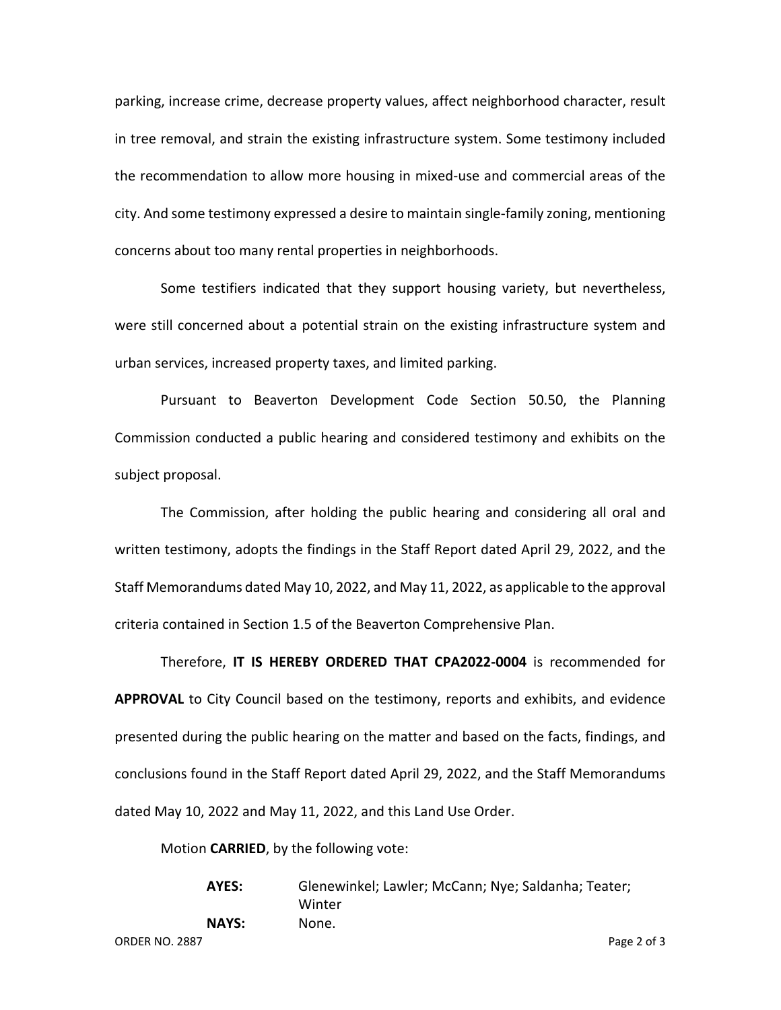parking, increase crime, decrease property values, affect neighborhood character, result in tree removal, and strain the existing infrastructure system. Some testimony included the recommendation to allow more housing in mixed-use and commercial areas of the city. And some testimony expressed a desire to maintain single-family zoning, mentioning concerns about too many rental properties in neighborhoods.

Some testifiers indicated that they support housing variety, but nevertheless, were still concerned about a potential strain on the existing infrastructure system and urban services, increased property taxes, and limited parking.

Pursuant to Beaverton Development Code Section 50.50, the Planning Commission conducted a public hearing and considered testimony and exhibits on the subject proposal.

The Commission, after holding the public hearing and considering all oral and written testimony, adopts the findings in the Staff Report dated April 29, 2022, and the Staff Memorandums dated May 10, 2022, and May 11, 2022, as applicable to the approval criteria contained in Section 1.5 of the Beaverton Comprehensive Plan.

Therefore, **IT IS HEREBY ORDERED THAT CPA2022-0004** is recommended for **APPROVAL** to City Council based on the testimony, reports and exhibits, and evidence presented during the public hearing on the matter and based on the facts, findings, and conclusions found in the Staff Report dated April 29, 2022, and the Staff Memorandums dated May 10, 2022 and May 11, 2022, and this Land Use Order.

Motion **CARRIED**, by the following vote:

**AYES:** Glenewinkel; Lawler; McCann; Nye; Saldanha; Teater; Winter **NAYS:** None.